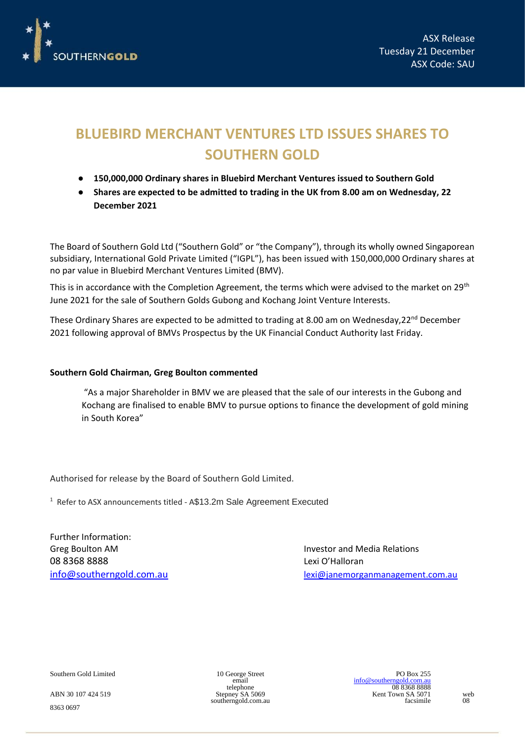

## **BLUEBIRD MERCHANT VENTURES LTD ISSUES SHARES TO SOUTHERN GOLD**

- **150,000,000 Ordinary shares in Bluebird Merchant Ventures issued to Southern Gold**
- **Shares are expected to be admitted to trading in the UK from 8.00 am on Wednesday, 22 December 2021**

The Board of Southern Gold Ltd ("Southern Gold" or "the Company"), through its wholly owned Singaporean subsidiary, International Gold Private Limited ("IGPL"), has been issued with 150,000,000 Ordinary shares at no par value in Bluebird Merchant Ventures Limited (BMV).

This is in accordance with the Completion Agreement, the terms which were advised to the market on 29<sup>th</sup> June 2021 for the sale of Southern Golds Gubong and Kochang Joint Venture Interests.

These Ordinary Shares are expected to be admitted to trading at 8.00 am on Wednesday, 22<sup>nd</sup> December 2021 following approval of BMVs Prospectus by the UK Financial Conduct Authority last Friday.

## **Southern Gold Chairman, Greg Boulton commented**

"As a major Shareholder in BMV we are pleased that the sale of our interests in the Gubong and Kochang are finalised to enable BMV to pursue options to finance the development of gold mining in South Korea"

Authorised for release by the Board of Southern Gold Limited.

<sup>1</sup> Refer to ASX announcements titled - A\$13.2m Sale Agreement Executed

Further Information: Greg Boulton AM **Investor and Media Relations** 08 8368 8888 Lexi O'Halloran Number of the State of the Lexi O'Halloran Number of the Lexi O'Halloran Number o

[info@southerngold.com.au](mailto:info@southerngold.com.au) [lexi@janemorganmanagement.com.au](mailto:lexi@janemorganmanagement.com.au)

8363 0697

Southern Gold Limited PO Box 255<br>email 10 George Street PO Box 255<br>info@southerngold.com.au

email [info@southerngold.com.au](mailto:info@southerngold.com.au)<br>telephone 08 8368 8888 ABN 30 107 424 519 Stepney SA 5069 Kent Town SA 5071 web<br>southerngold.com.au facsimile 08